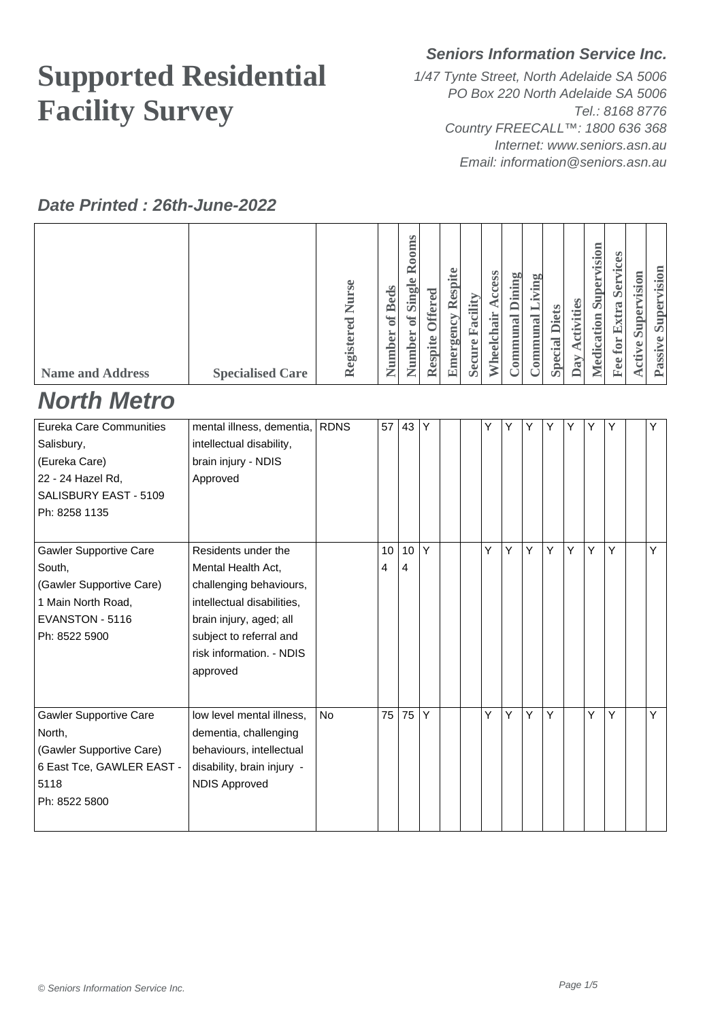# **Supported Residential Facility Survey**

#### **Seniors Information Service Inc.**

1/47 Tynte Street, North Adelaide SA 5006 PO Box 220 North Adelaide SA 5006 Tel.: 8168 8776 Country FREECALL™: 1800 636 368 Internet: www.seniors.asn.au Email: information@seniors.asn.au

#### **Date Printed : 26th-June-2022**

| <b>Name and Address</b><br><b>North Metro</b> | <b>Specialised Care</b>                            | Registered Nurse | Number of Beds | Number of Single Rooms | Respite Offered | <b>Emergency Respite</b> | Secure Facility | Wheelchair Access | <b>Communal Dining</b> | Communal Living | <b>Special Diets</b> | <b>Activities</b><br>Day. | Medication Supervision | <b>Fee for Extra Services</b> | <b>Active Supervision</b> | Passive Supervision |
|-----------------------------------------------|----------------------------------------------------|------------------|----------------|------------------------|-----------------|--------------------------|-----------------|-------------------|------------------------|-----------------|----------------------|---------------------------|------------------------|-------------------------------|---------------------------|---------------------|
| Eureka Care Communities                       | mental illness, dementia,                          | <b>RDNS</b>      | 57 43          |                        | Y               |                          |                 | Y                 | Y                      | Υ               | Υ                    | Y                         | Υ                      | Υ                             |                           | Υ                   |
| Salisbury,                                    | intellectual disability,                           |                  |                |                        |                 |                          |                 |                   |                        |                 |                      |                           |                        |                               |                           |                     |
| (Eureka Care)<br>22 - 24 Hazel Rd,            | brain injury - NDIS<br>Approved                    |                  |                |                        |                 |                          |                 |                   |                        |                 |                      |                           |                        |                               |                           |                     |
| SALISBURY EAST - 5109                         |                                                    |                  |                |                        |                 |                          |                 |                   |                        |                 |                      |                           |                        |                               |                           |                     |
| Ph: 8258 1135                                 |                                                    |                  |                |                        |                 |                          |                 |                   |                        |                 |                      |                           |                        |                               |                           |                     |
|                                               |                                                    |                  |                |                        |                 |                          |                 |                   |                        |                 |                      |                           |                        |                               |                           |                     |
| <b>Gawler Supportive Care</b>                 | Residents under the                                |                  | 10             | 10                     | Y               |                          |                 | Y                 | Y                      | Y               | Ý                    | Y                         | Y                      | Ý                             |                           | Y                   |
| South,                                        | Mental Health Act,                                 |                  | 4              | 4                      |                 |                          |                 |                   |                        |                 |                      |                           |                        |                               |                           |                     |
| (Gawler Supportive Care)                      | challenging behaviours,                            |                  |                |                        |                 |                          |                 |                   |                        |                 |                      |                           |                        |                               |                           |                     |
| 1 Main North Road,                            | intellectual disabilities,                         |                  |                |                        |                 |                          |                 |                   |                        |                 |                      |                           |                        |                               |                           |                     |
| EVANSTON - 5116<br>Ph: 8522 5900              | brain injury, aged; all<br>subject to referral and |                  |                |                        |                 |                          |                 |                   |                        |                 |                      |                           |                        |                               |                           |                     |
|                                               | risk information. - NDIS                           |                  |                |                        |                 |                          |                 |                   |                        |                 |                      |                           |                        |                               |                           |                     |
|                                               | approved                                           |                  |                |                        |                 |                          |                 |                   |                        |                 |                      |                           |                        |                               |                           |                     |
|                                               |                                                    |                  |                |                        |                 |                          |                 |                   |                        |                 |                      |                           |                        |                               |                           |                     |
| <b>Gawler Supportive Care</b>                 | low level mental illness,                          | <b>No</b>        | 75             | 75                     | Y               |                          |                 | Υ                 | Y                      | Y               | Y                    |                           | Y                      | Y                             |                           | Y                   |
| North,                                        | dementia, challenging                              |                  |                |                        |                 |                          |                 |                   |                        |                 |                      |                           |                        |                               |                           |                     |
| (Gawler Supportive Care)                      | behaviours, intellectual                           |                  |                |                        |                 |                          |                 |                   |                        |                 |                      |                           |                        |                               |                           |                     |
| 6 East Tce, GAWLER EAST -                     | disability, brain injury -                         |                  |                |                        |                 |                          |                 |                   |                        |                 |                      |                           |                        |                               |                           |                     |
| 5118                                          | <b>NDIS Approved</b>                               |                  |                |                        |                 |                          |                 |                   |                        |                 |                      |                           |                        |                               |                           |                     |
| Ph: 8522 5800                                 |                                                    |                  |                |                        |                 |                          |                 |                   |                        |                 |                      |                           |                        |                               |                           |                     |
|                                               |                                                    |                  |                |                        |                 |                          |                 |                   |                        |                 |                      |                           |                        |                               |                           |                     |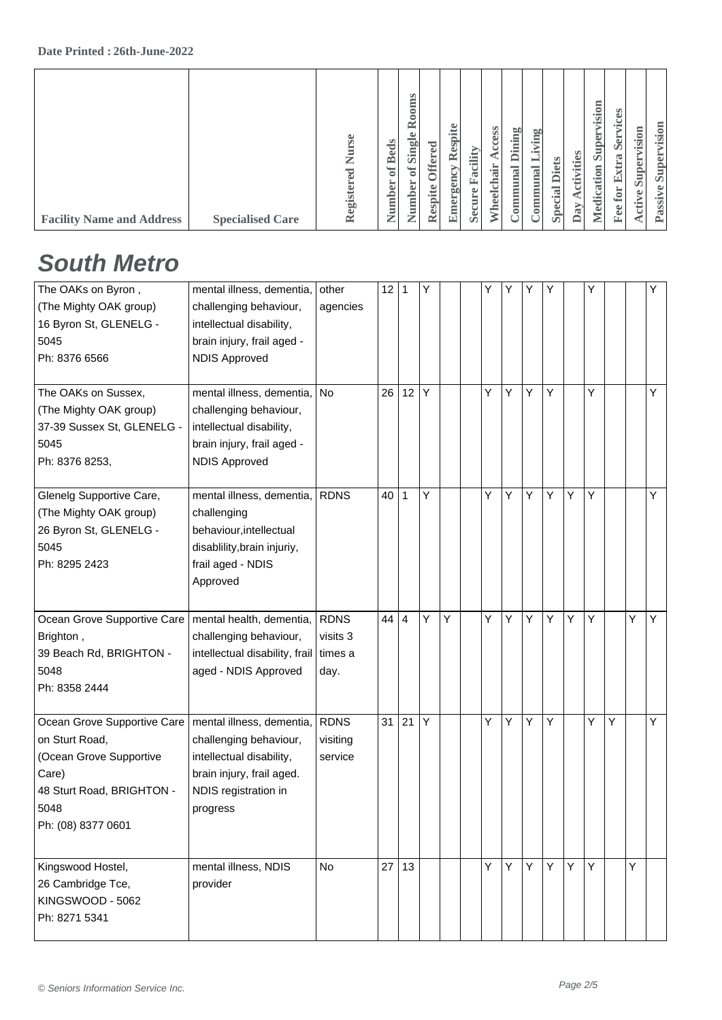### **South Metro**

| The OAKs on Byron,<br>(The Mighty OAK group)<br>16 Byron St, GLENELG -<br>5045<br>Ph: 8376 6566                                              | mental illness, dementia,<br>challenging behaviour,<br>intellectual disability,<br>brain injury, frail aged -<br><b>NDIS Approved</b>            | other<br>agencies                            | 12 <sup>°</sup> | 1  | Υ |   | Y | Y | Υ | Υ |   | Y |   |   | Y |
|----------------------------------------------------------------------------------------------------------------------------------------------|--------------------------------------------------------------------------------------------------------------------------------------------------|----------------------------------------------|-----------------|----|---|---|---|---|---|---|---|---|---|---|---|
| The OAKs on Sussex,<br>(The Mighty OAK group)<br>37-39 Sussex St, GLENELG -<br>5045<br>Ph: 8376 8253,                                        | mental illness, dementia,<br>challenging behaviour,<br>intellectual disability,<br>brain injury, frail aged -<br><b>NDIS Approved</b>            | <b>No</b>                                    | 26              | 12 | Y |   | Υ | Y | Y | Υ |   | Y |   |   | Y |
| Glenelg Supportive Care,<br>(The Mighty OAK group)<br>26 Byron St, GLENELG -<br>5045<br>Ph: 8295 2423                                        | mental illness, dementia,<br>challenging<br>behaviour, intellectual<br>disablility, brain injuriy,<br>frail aged - NDIS<br>Approved              | <b>RDNS</b>                                  | 40              | 1  | Υ |   | Y | Y | Y | Υ | Y | Y |   |   | Y |
| Ocean Grove Supportive Care<br>Brighton,<br>39 Beach Rd, BRIGHTON -<br>5048<br>Ph: 8358 2444                                                 | mental health, dementia,<br>challenging behaviour,<br>intellectual disability, frail<br>aged - NDIS Approved                                     | <b>RDNS</b><br>visits 3<br>l times a<br>day. | 44              | 4  | Y | Υ | Υ | Y | Y | Υ | Y | Y |   | Y | Y |
| Ocean Grove Supportive Care<br>on Sturt Road,<br>(Ocean Grove Supportive<br>Care)<br>48 Sturt Road, BRIGHTON -<br>5048<br>Ph: (08) 8377 0601 | mental illness, dementia,<br>challenging behaviour,<br>intellectual disability,<br>brain injury, frail aged.<br>NDIS registration in<br>progress | <b>RDNS</b><br>visiting<br>service           | 31              | 21 | Y |   | Υ | Υ | Υ | Υ |   | Y | Y |   | Υ |
| Kingswood Hostel,<br>26 Cambridge Tce,<br>KINGSWOOD - 5062<br>Ph: 8271 5341                                                                  | mental illness, NDIS<br>provider                                                                                                                 | No                                           | 27              | 13 |   |   | Y | Y | Y | Y | Υ | Y |   | Y |   |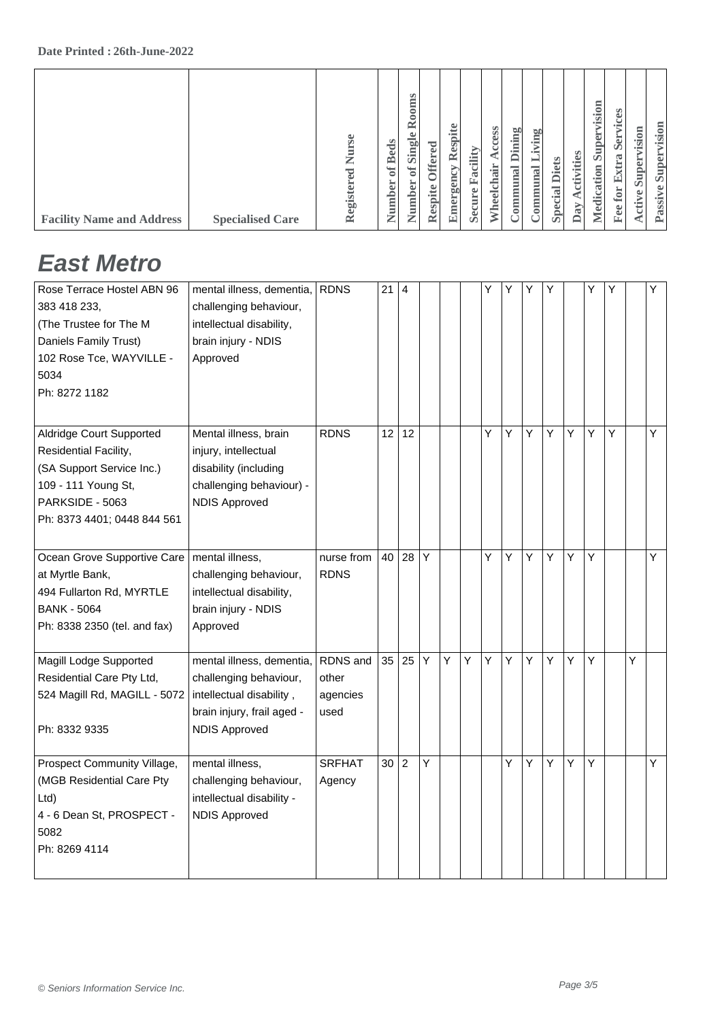|--|

### **East Metro**

| Rose Terrace Hostel ABN 96   | mental illness, dementia,  | <b>RDNS</b>   | 21 | 4              |   |   |   | Y | Y | Υ | Υ |   | Y | Υ |   | Y |
|------------------------------|----------------------------|---------------|----|----------------|---|---|---|---|---|---|---|---|---|---|---|---|
| 383 418 233.                 | challenging behaviour,     |               |    |                |   |   |   |   |   |   |   |   |   |   |   |   |
| (The Trustee for The M       | intellectual disability,   |               |    |                |   |   |   |   |   |   |   |   |   |   |   |   |
| Daniels Family Trust)        | brain injury - NDIS        |               |    |                |   |   |   |   |   |   |   |   |   |   |   |   |
| 102 Rose Tce, WAYVILLE -     | Approved                   |               |    |                |   |   |   |   |   |   |   |   |   |   |   |   |
| 5034                         |                            |               |    |                |   |   |   |   |   |   |   |   |   |   |   |   |
| Ph: 8272 1182                |                            |               |    |                |   |   |   |   |   |   |   |   |   |   |   |   |
|                              |                            |               |    |                |   |   |   |   |   |   |   |   |   |   |   |   |
| Aldridge Court Supported     | Mental illness, brain      | <b>RDNS</b>   | 12 | 12             |   |   |   | Υ | Υ | Υ | Υ | Y | Υ | Y |   | Y |
| Residential Facility,        | injury, intellectual       |               |    |                |   |   |   |   |   |   |   |   |   |   |   |   |
| (SA Support Service Inc.)    | disability (including      |               |    |                |   |   |   |   |   |   |   |   |   |   |   |   |
| 109 - 111 Young St,          | challenging behaviour) -   |               |    |                |   |   |   |   |   |   |   |   |   |   |   |   |
| PARKSIDE - 5063              | <b>NDIS Approved</b>       |               |    |                |   |   |   |   |   |   |   |   |   |   |   |   |
| Ph: 8373 4401; 0448 844 561  |                            |               |    |                |   |   |   |   |   |   |   |   |   |   |   |   |
|                              |                            |               |    |                |   |   |   |   |   |   |   |   |   |   |   |   |
| Ocean Grove Supportive Care  | mental illness,            | nurse from    | 40 | 28             | Y |   |   | Y | Y | Y | Y | Y | Y |   |   | Y |
| at Myrtle Bank,              | challenging behaviour,     | <b>RDNS</b>   |    |                |   |   |   |   |   |   |   |   |   |   |   |   |
| 494 Fullarton Rd, MYRTLE     | intellectual disability,   |               |    |                |   |   |   |   |   |   |   |   |   |   |   |   |
| <b>BANK - 5064</b>           | brain injury - NDIS        |               |    |                |   |   |   |   |   |   |   |   |   |   |   |   |
| Ph: 8338 2350 (tel. and fax) | Approved                   |               |    |                |   |   |   |   |   |   |   |   |   |   |   |   |
|                              |                            |               |    |                |   |   |   |   |   |   |   |   |   |   |   |   |
| Magill Lodge Supported       | mental illness, dementia,  | RDNS and      | 35 | 25             | Y | Y | Y | Υ | Y | Y | Y | Y | Y |   | Υ |   |
| Residential Care Pty Ltd,    | challenging behaviour,     | other         |    |                |   |   |   |   |   |   |   |   |   |   |   |   |
| 524 Magill Rd, MAGILL - 5072 | intellectual disability,   | agencies      |    |                |   |   |   |   |   |   |   |   |   |   |   |   |
|                              | brain injury, frail aged - | used          |    |                |   |   |   |   |   |   |   |   |   |   |   |   |
| Ph: 8332 9335                | <b>NDIS Approved</b>       |               |    |                |   |   |   |   |   |   |   |   |   |   |   |   |
|                              |                            |               |    |                |   |   |   |   |   |   |   |   |   |   |   |   |
| Prospect Community Village,  | mental illness,            | <b>SRFHAT</b> | 30 | $\overline{c}$ | Υ |   |   |   | Υ | Υ | Υ | Υ | Υ |   |   | Υ |
| (MGB Residential Care Pty    | challenging behaviour,     | Agency        |    |                |   |   |   |   |   |   |   |   |   |   |   |   |
| Ltd                          | intellectual disability -  |               |    |                |   |   |   |   |   |   |   |   |   |   |   |   |
| 4 - 6 Dean St, PROSPECT -    | <b>NDIS Approved</b>       |               |    |                |   |   |   |   |   |   |   |   |   |   |   |   |
| 5082                         |                            |               |    |                |   |   |   |   |   |   |   |   |   |   |   |   |
| Ph: 8269 4114                |                            |               |    |                |   |   |   |   |   |   |   |   |   |   |   |   |
|                              |                            |               |    |                |   |   |   |   |   |   |   |   |   |   |   |   |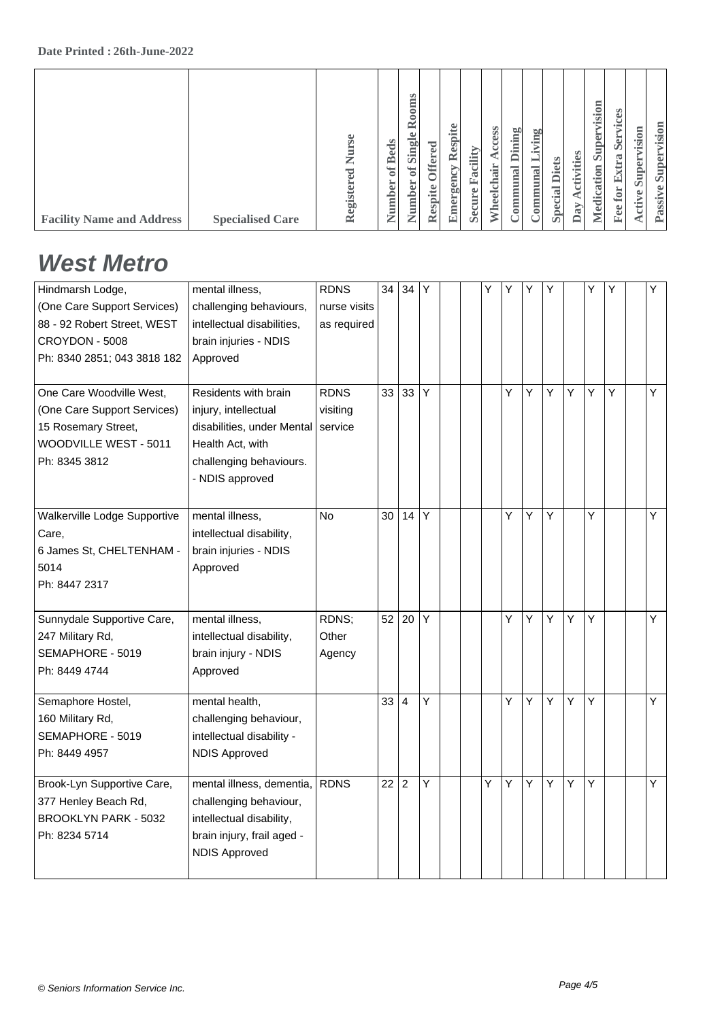| <b>Facility Name and Address</b> | <b>Specialised Care</b> | Se<br>Ź<br>${\tt e}$ d<br>egister<br>$\cong$ | <b>Beds</b><br>$\sigma$<br>Number | Rooms<br>of Single<br>Number | <b>Offered</b><br>Respite | Respite<br>Emergency | Facility<br>Secure | Access<br>Wheelchair | Dining<br>communal | dving<br>⊨<br>ommunal | <b>Diets</b><br>Special | ctivities<br>∢<br>Day | Supervision<br>Medication | ices<br><b>Ser</b><br>Extra<br>$\mathbf{f}$ or<br>Fee | vision<br>Super<br>Active | Supervision<br>Passive |
|----------------------------------|-------------------------|----------------------------------------------|-----------------------------------|------------------------------|---------------------------|----------------------|--------------------|----------------------|--------------------|-----------------------|-------------------------|-----------------------|---------------------------|-------------------------------------------------------|---------------------------|------------------------|
|                                  |                         |                                              |                                   |                              |                           |                      |                    |                      |                    |                       |                         |                       |                           |                                                       |                           |                        |

#### **West Metro**

| mental illness,            | <b>RDNS</b>                                                                                                             | 34 | 34               | Y              |   | Y | Υ | Υ | Υ |   | Υ | Y | Y |
|----------------------------|-------------------------------------------------------------------------------------------------------------------------|----|------------------|----------------|---|---|---|---|---|---|---|---|---|
| challenging behaviours,    | nurse visits                                                                                                            |    |                  |                |   |   |   |   |   |   |   |   |   |
| intellectual disabilities, | as required                                                                                                             |    |                  |                |   |   |   |   |   |   |   |   |   |
| brain injuries - NDIS      |                                                                                                                         |    |                  |                |   |   |   |   |   |   |   |   |   |
| Approved                   |                                                                                                                         |    |                  |                |   |   |   |   |   |   |   |   |   |
|                            |                                                                                                                         |    |                  |                |   |   |   |   |   |   |   |   |   |
| Residents with brain       | <b>RDNS</b>                                                                                                             | 33 | 33               | Y              |   |   | Υ | Υ | Υ | Υ | Y | Υ | Υ |
| injury, intellectual       | visiting                                                                                                                |    |                  |                |   |   |   |   |   |   |   |   |   |
| disabilities, under Mental | service                                                                                                                 |    |                  |                |   |   |   |   |   |   |   |   |   |
| Health Act. with           |                                                                                                                         |    |                  |                |   |   |   |   |   |   |   |   |   |
| challenging behaviours.    |                                                                                                                         |    |                  |                |   |   |   |   |   |   |   |   |   |
| - NDIS approved            |                                                                                                                         |    |                  |                |   |   |   |   |   |   |   |   |   |
|                            |                                                                                                                         |    |                  |                |   |   |   |   |   |   |   |   |   |
| mental illness,            | <b>No</b>                                                                                                               | 30 | 14               | Y              |   |   | Y | Υ | Υ |   | Y |   | Υ |
| intellectual disability,   |                                                                                                                         |    |                  |                |   |   |   |   |   |   |   |   |   |
| brain injuries - NDIS      |                                                                                                                         |    |                  |                |   |   |   |   |   |   |   |   |   |
| Approved                   |                                                                                                                         |    |                  |                |   |   |   |   |   |   |   |   |   |
|                            |                                                                                                                         |    |                  |                |   |   |   |   |   |   |   |   |   |
|                            |                                                                                                                         |    |                  |                |   |   |   |   |   |   |   |   |   |
| mental illness,            | RDNS;                                                                                                                   | 52 | 20               | Y              |   |   | Y | Υ | Υ | Y | Y |   | Y |
| intellectual disability,   | Other                                                                                                                   |    |                  |                |   |   |   |   |   |   |   |   |   |
| brain injury - NDIS        | Agency                                                                                                                  |    |                  |                |   |   |   |   |   |   |   |   |   |
| Approved                   |                                                                                                                         |    |                  |                |   |   |   |   |   |   |   |   |   |
|                            |                                                                                                                         |    |                  |                |   |   |   |   |   |   |   |   |   |
|                            |                                                                                                                         |    |                  |                |   |   |   |   |   |   |   |   | Υ |
|                            |                                                                                                                         |    |                  |                |   |   |   |   |   |   |   |   |   |
|                            |                                                                                                                         |    |                  |                |   |   |   |   |   |   |   |   |   |
|                            |                                                                                                                         |    |                  |                |   |   |   |   |   |   |   |   |   |
| mental illness, dementia,  | <b>RDNS</b>                                                                                                             | 22 | $\boldsymbol{2}$ | Y              |   | Y | Y | Y | Υ | Υ | Y |   | Y |
|                            |                                                                                                                         |    |                  |                |   |   |   |   |   |   |   |   |   |
| intellectual disability,   |                                                                                                                         |    |                  |                |   |   |   |   |   |   |   |   |   |
| brain injury, frail aged - |                                                                                                                         |    |                  |                |   |   |   |   |   |   |   |   |   |
| <b>NDIS Approved</b>       |                                                                                                                         |    |                  |                |   |   |   |   |   |   |   |   |   |
|                            |                                                                                                                         |    |                  |                |   |   |   |   |   |   |   |   |   |
|                            | mental health,<br>challenging behaviour,<br>intellectual disability -<br><b>NDIS Approved</b><br>challenging behaviour, |    | 33               | $\overline{4}$ | Y |   |   | Y | Υ | Υ | Y | Y |   |